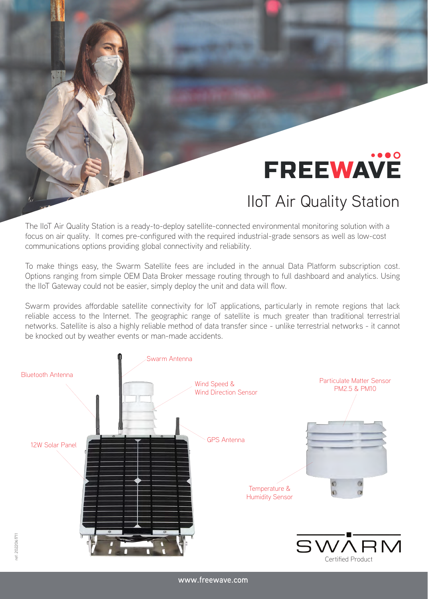## **FREEWAVE**

## **IIoT Air Quality Station**

The IIoT Air Quality Station is a ready-to-deploy satellite-connected environmental monitoring solution with a focus on air quality. It comes pre-configured with the required industrial-grade sensors as well as low-cost communications options providing global connectivity and reliability.

To make things easy, the Swarm Satellite fees are included in the annual Data Platform subscription cost. Options ranging from simple OEM Data Broker message routing through to full dashboard and analytics. Using the IIoT Gateway could not be easier, simply deploy the unit and data will flow.

Swarm provides affordable satellite connectivity for IoT applications, particularly in remote regions that lack reliable access to the Internet. The geographic range of satellite is much greater than traditional terrestrial networks. Satellite is also a highly reliable method of data transfer since - unlike terrestrial networks - it cannot be knocked out by weather events or man-made accidents.